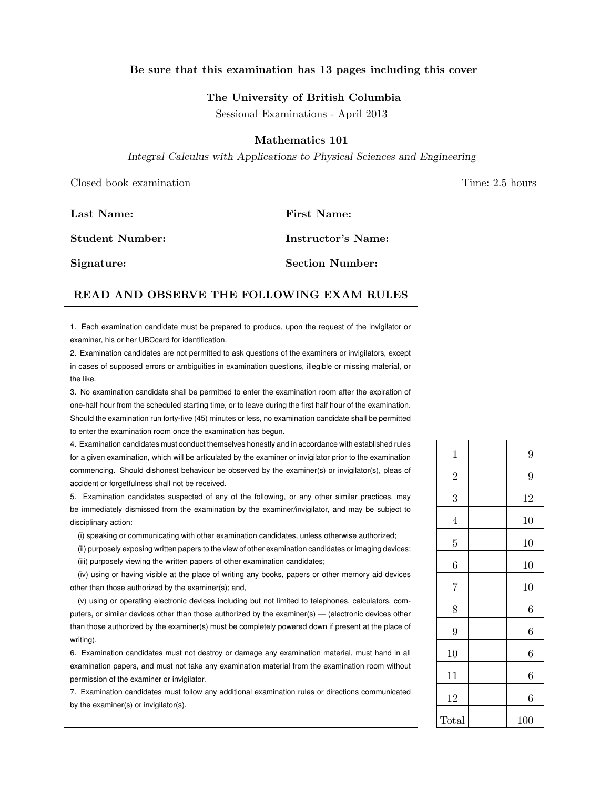# Be sure that this examination has 13 pages including this cover

### The University of British Columbia

Sessional Examinations - April 2013

## Mathematics 101

Integral Calculus with Applications to Physical Sciences and Engineering

Closed book examination **Time:** 2.5 hours

|                 | First Name:        |
|-----------------|--------------------|
|                 |                    |
| Student Number: | Instructor's Name: |
| Signature:      | Section Number:    |

## READ AND OBSERVE THE FOLLOWING EXAM RULES

1. Each examination candidate must be prepared to produce, upon the request of the invigilator or examiner, his or her UBCcard for identification.

2. Examination candidates are not permitted to ask questions of the examiners or invigilators, except in cases of supposed errors or ambiguities in examination questions, illegible or missing material, or the like.

3. No examination candidate shall be permitted to enter the examination room after the expiration of one-half hour from the scheduled starting time, or to leave during the first half hour of the examination. Should the examination run forty-five (45) minutes or less, no examination candidate shall be permitted to enter the examination room once the examination has begun.

4. Examination candidates must conduct themselves honestly and in accordance with established rules for a given examination, which will be articulated by the examiner or invigilator prior to the examination commencing. Should dishonest behaviour be observed by the examiner(s) or invigilator(s), pleas of accident or forgetfulness shall not be received.

5. Examination candidates suspected of any of the following, or any other similar practices, may be immediately dismissed from the examination by the examiner/invigilator, and may be subject to disciplinary action:

(i) speaking or communicating with other examination candidates, unless otherwise authorized;

(ii) purposely exposing written papers to the view of other examination candidates or imaging devices; (iii) purposely viewing the written papers of other examination candidates;

(iv) using or having visible at the place of writing any books, papers or other memory aid devices other than those authorized by the examiner(s); and,

(v) using or operating electronic devices including but not limited to telephones, calculators, computers, or similar devices other than those authorized by the examiner(s) — (electronic devices other than those authorized by the examiner(s) must be completely powered down if present at the place of writing).

6. Examination candidates must not destroy or damage any examination material, must hand in all examination papers, and must not take any examination material from the examination room without permission of the examiner or invigilator.

7. Examination candidates must follow any additional examination rules or directions communicated by the examiner(s) or invigilator(s).

| $\mathbf 1$    | 9                |
|----------------|------------------|
| $\overline{2}$ | 9                |
| 3              | 12               |
| $\overline{4}$ | 10               |
| 5              | 10               |
| 6              | 10               |
| $\overline{7}$ | 10               |
| 8              | 6                |
| 9              | $\boldsymbol{6}$ |
| 10             | 6                |
| 11             | 6                |
| 12             | 6                |
| Total          | 100              |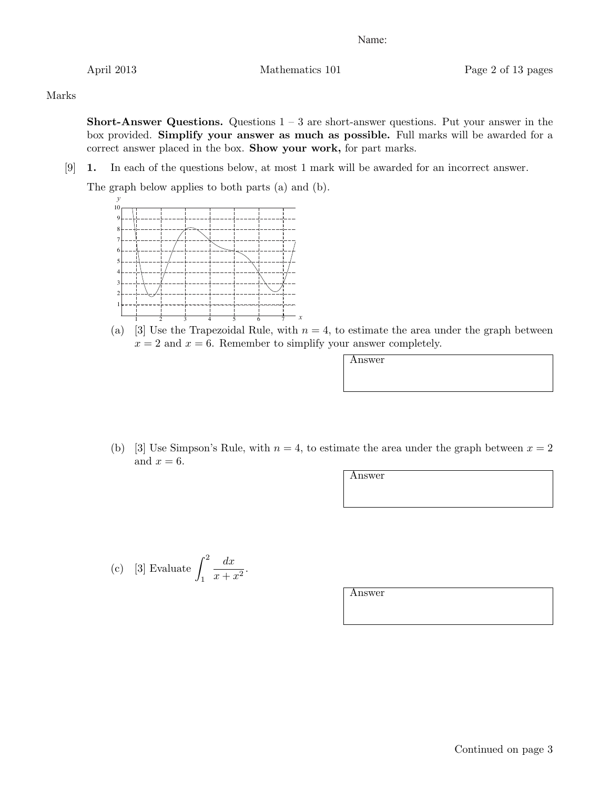April 2013 Mathematics 101 Page 2 of 13 pages

Marks

**Short-Answer Questions.** Questions  $1 - 3$  are short-answer questions. Put your answer in the box provided. Simplify your answer as much as possible. Full marks will be awarded for a correct answer placed in the box. Show your work, for part marks.

[9] 1. In each of the questions below, at most 1 mark will be awarded for an incorrect answer.

The graph below applies to both parts (a) and (b).



(a) [3] Use the Trapezoidal Rule, with  $n = 4$ , to estimate the area under the graph between  $x = 2$  and  $x = 6$ . Remember to simplify your answer completely.

Answer

(b) [3] Use Simpson's Rule, with  $n = 4$ , to estimate the area under the graph between  $x = 2$ and  $x = 6$ .

Answer

(c) [3] Evaluate 
$$
\int_1^2 \frac{dx}{x+x^2}.
$$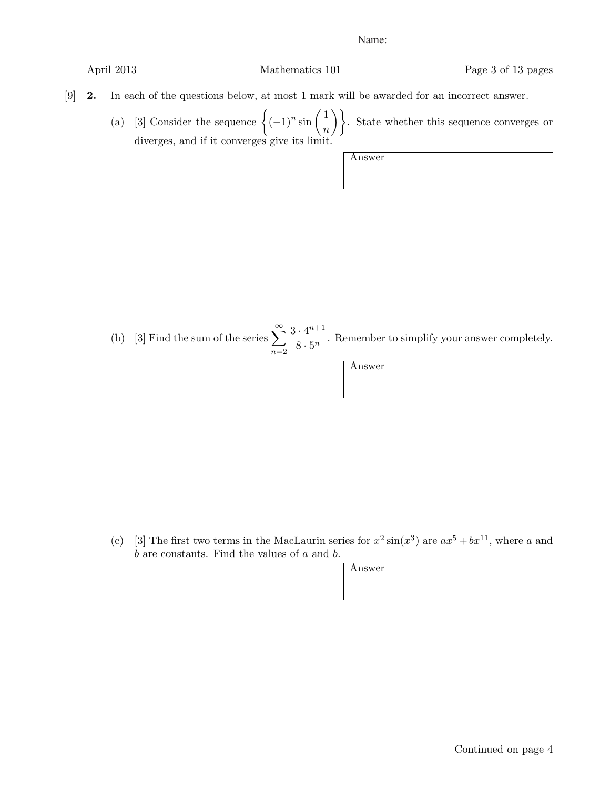April 2013 Mathematics 101 Page 3 of 13 pages

- [9] 2. In each of the questions below, at most 1 mark will be awarded for an incorrect answer.
	- (a) [3] Consider the sequence  $\left\{(-1)^n \sin\left(\frac{1}{n}\right)\right\}$ . State whether this sequence converges or diverges, and if it converges give its limit.

Answer

(b) [3] Find the sum of the series  $\sum_{n=1}^{\infty}$  $n=2$  $3 \cdot 4^{n+1}$  $\frac{1}{8 \cdot 5^n}$ . Remember to simplify your answer completely.

Answer

(c) [3] The first two terms in the MacLaurin series for  $x^2 \sin(x^3)$  are  $ax^5 + bx^{11}$ , where a and  $b$  are constants. Find the values of  $a$  and  $b$ .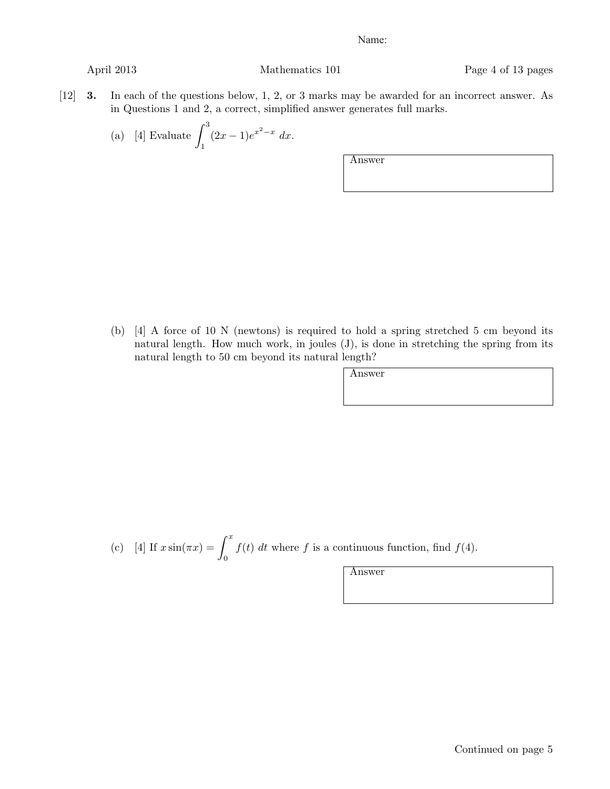April 2013 Mathematics 101 Page 4 of 13 pages

- [12] 3. In each of the questions below, 1, 2, or 3 marks may be awarded for an incorrect answer. As in Questions 1 and 2, a correct, simplified answer generates full marks.
	- (a) [4] Evaluate  $\int_0^3$  $\int_{1}^{1} (2x-1)e^{x^2-x} dx.$

Answer

(b) [4] A force of 10 N (newtons) is required to hold a spring stretched 5 cm beyond its natural length. How much work, in joules (J), is done in stretching the spring from its natural length to 50 cm beyond its natural length?

| v<br>۰, |
|---------|
|---------|

(c) [4] If 
$$
x \sin(\pi x) = \int_0^x f(t) dt
$$
 where f is a continuous function, find  $f(4)$ .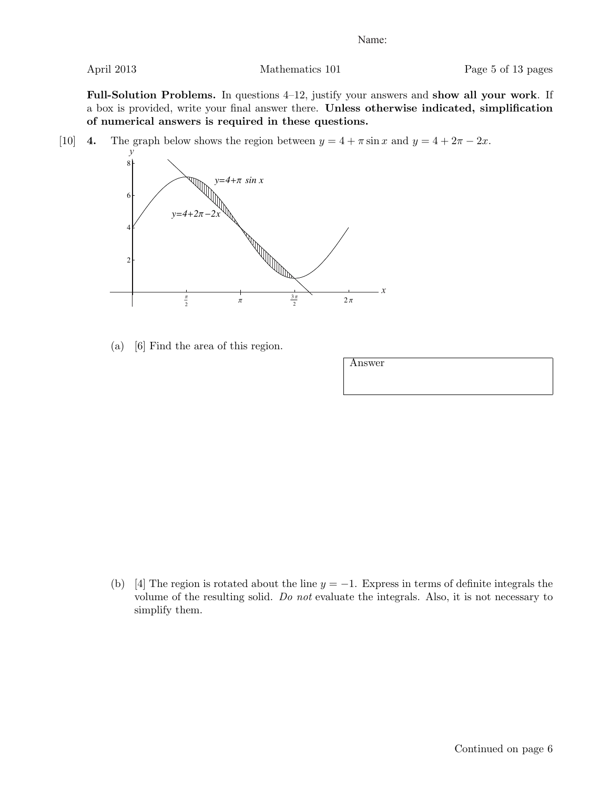Full-Solution Problems. In questions 4–12, justify your answers and show all your work. If a box is provided, write your final answer there. Unless otherwise indicated, simplification of numerical answers is required in these questions.

[10] 4. The graph below shows the region between  $y = 4 + \pi \sin x$  and  $y = 4 + 2\pi - 2x$ .



(a) [6] Find the area of this region.

| Answer |  |  |
|--------|--|--|
|        |  |  |
|        |  |  |

(b) [4] The region is rotated about the line  $y = -1$ . Express in terms of definite integrals the volume of the resulting solid. Do not evaluate the integrals. Also, it is not necessary to simplify them.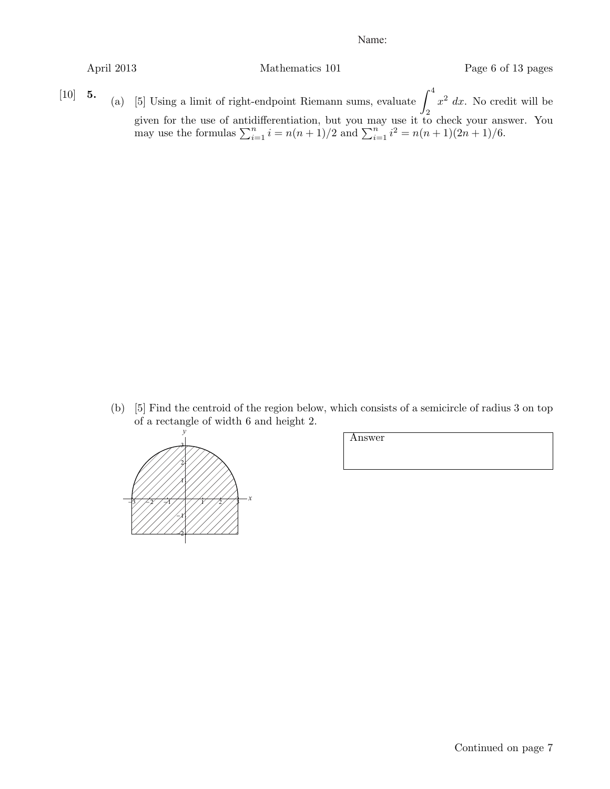may use the formulas  $\sum_{i=1}^{n} i = n(n+1)/2$  and  $\sum_{i=1}^{n} i^2 = n(n+1)(2n+1)/6$ .

April 2013 Mathematics 101 Page 6 of 13 pages

[10] **5.** (a) [5] Using a limit of right-endpoint Riemann sums, evaluate  $\int_0^4 x^2 dx$ . No credit will be given for the use of antidifferentiation, but you may use it to check your answer. You

> (b) [5] Find the centroid of the region below, which consists of a semicircle of radius 3 on top of a rectangle of width 6 and height 2.

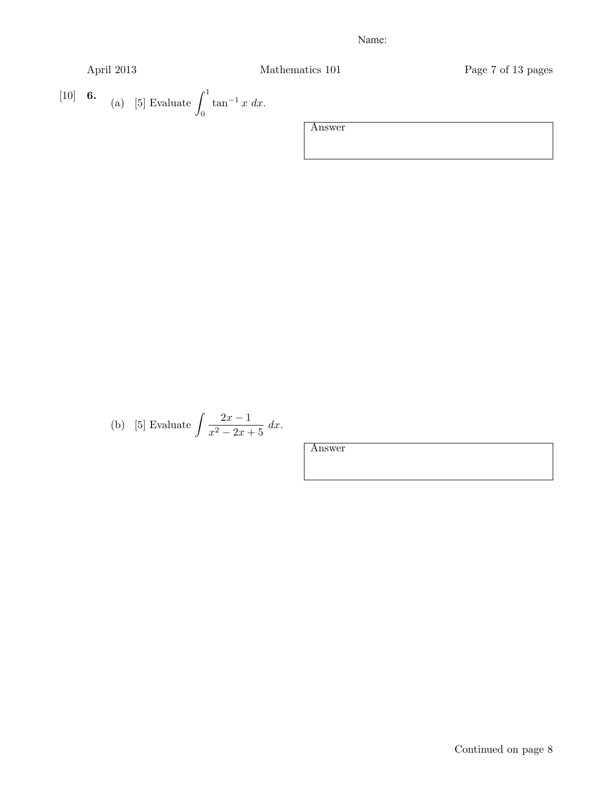April 2013 Mathematics 101 Page 7 of 13 pages

[10] **6.** (a) [5] Evaluate 
$$
\int_0^1 \tan^{-1} x \ dx
$$
.

Answer

(b) [5] Evaluate 
$$
\int \frac{2x - 1}{x^2 - 2x + 5} dx
$$
.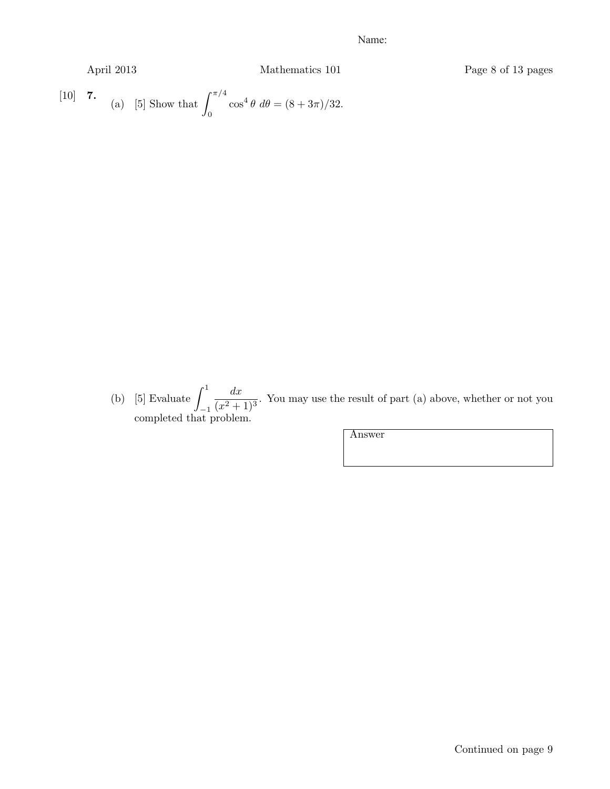April 2013 Mathematics 101 Page 8 of 13 pages [10] **7.** (a) [5] Show that  $\int_{0}^{\pi/4}$  $\cos^4 \theta \, d\theta = (8 + 3\pi)/32.$ 

0

(b) [5] Evaluate  $\int_1^1$  $-1$  $\frac{dx}{(x^2+1)^3}$ . You may use the result of part (a) above, whether or not you completed that problem.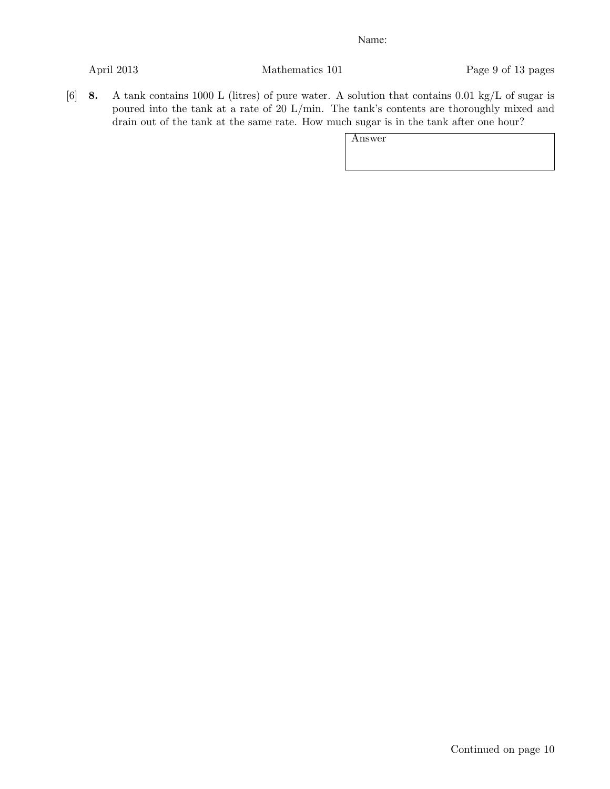April 2013 Mathematics 101 Page 9 of 13 pages

[6] 8. A tank contains 1000 L (litres) of pure water. A solution that contains 0.01 kg/L of sugar is poured into the tank at a rate of 20 L/min. The tank's contents are thoroughly mixed and drain out of the tank at the same rate. How much sugar is in the tank after one hour?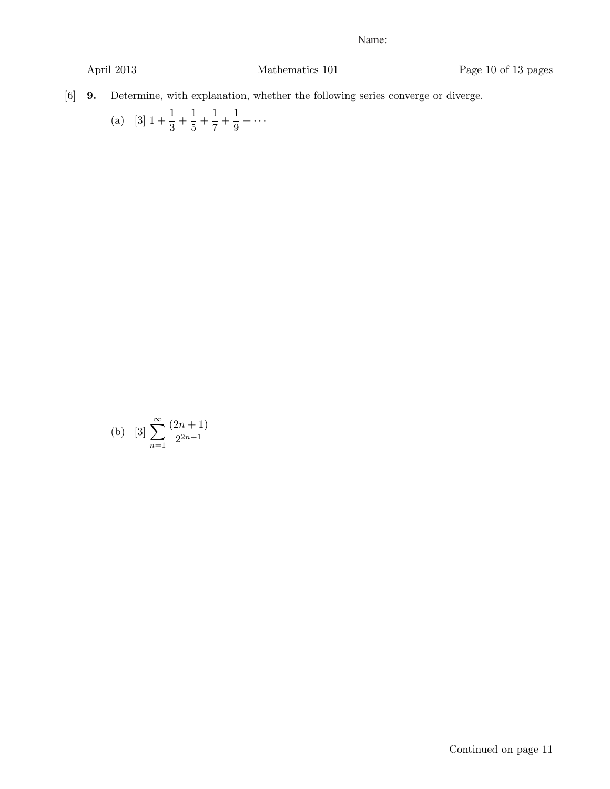April 2013 Mathematics 101 Page 10 of 13 pages

[6] 9. Determine, with explanation, whether the following series converge or diverge.

(a) 
$$
[3]
$$
  $1 + \frac{1}{3} + \frac{1}{5} + \frac{1}{7} + \frac{1}{9} + \cdots$ 

(b) 
$$
[3] \sum_{n=1}^{\infty} \frac{(2n+1)}{2^{2n+1}}
$$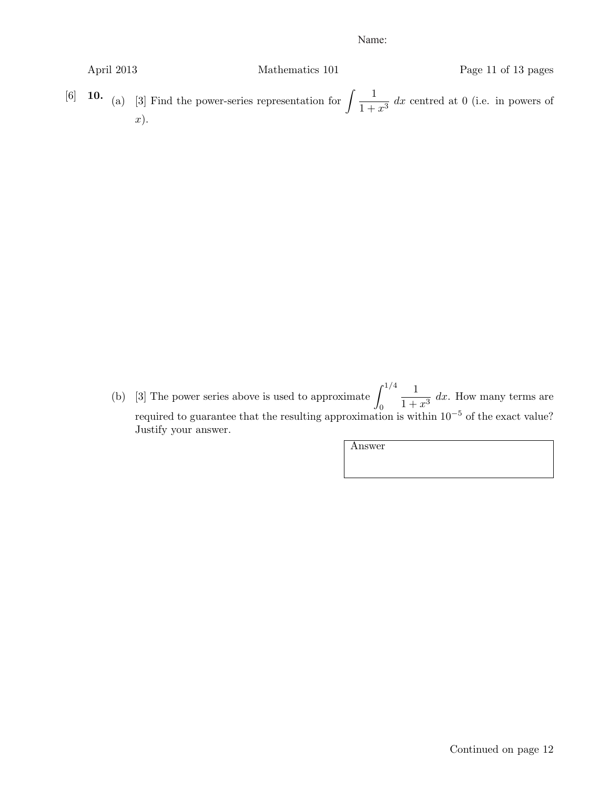| April 2013 | Mathematics 101 | Page 11 of 13 pages                                                                                                       |
|------------|-----------------|---------------------------------------------------------------------------------------------------------------------------|
|            | $x)$ .          | [6] <b>10.</b> (a) [3] Find the power-series representation for $\int \frac{1}{1+x^3} dx$ centred at 0 (i.e. in powers of |

(b) [3] The power series above is used to approximate  $\int_{0}^{1/4}$ 0  $\frac{1}{1+x^3}$  dx. How many terms are required to guarantee that the resulting approximation is within  $10^{-5}$  of the exact value? Justify your answer.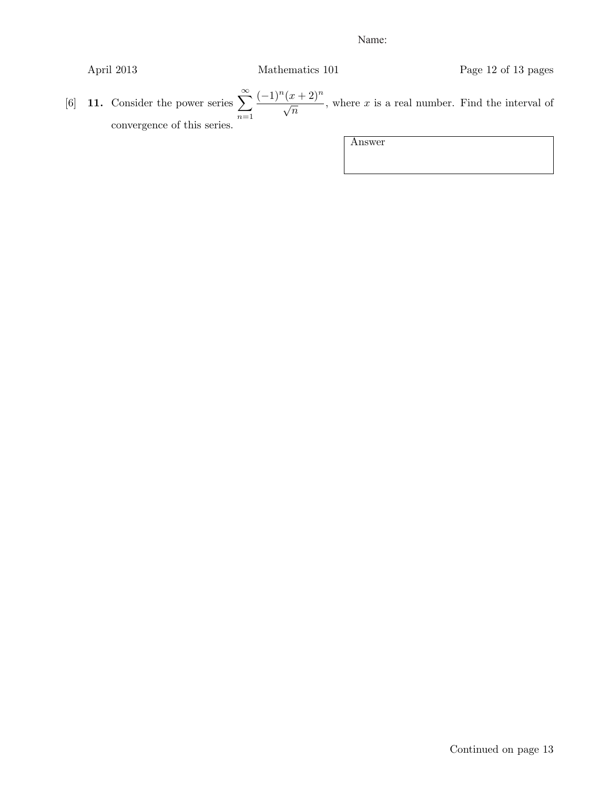April 2013 Mathematics 101 Page 12 of 13 pages

[6] 11. Consider the power series  $\sum_{n=1}^{\infty}$  $n=1$  $(-1)^n(x+2)^n$  $\frac{(x+2)}{\sqrt{n}}$ , where x is a real number. Find the interval of convergence of this series.